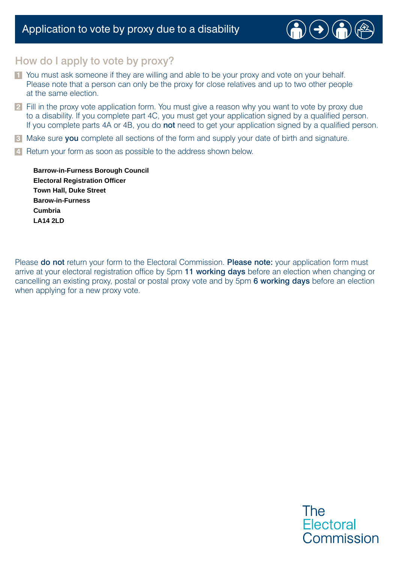### Application to vote by proxy due to a disability



### How do I apply to vote by proxy?

- **1** You must ask someone if they are willing and able to be your proxy and vote on your behalf. Please note that a person can only be the proxy for close relatives and up to two other people at the same election.
- **2** Fill in the proxy vote application form. You must give a reason why you want to vote by proxy due to a disability. If you complete part 4C, you must get your application signed by a qualified person. If you complete parts 4A or 4B, you do **not** need to get your application signed by a qualified person.
- **3** Make sure you complete all sections of the form and supply your date of birth and signature.
- **4** Return your form as soon as possible to the address shown below.

**LA14 2LD Town Hall, Duke Street Cumbria Barrow-in-Furness Borough Council Barow-in-Furness Electoral Registration Officer**

Please do not return your form to the Electoral Commission. Please note: your application form must arrive at your electoral registration office by 5pm 11 working days before an election when changing or cancelling an existing proxy, postal or postal proxy vote and by 5pm 6 working days before an election when applying for a new proxy vote.

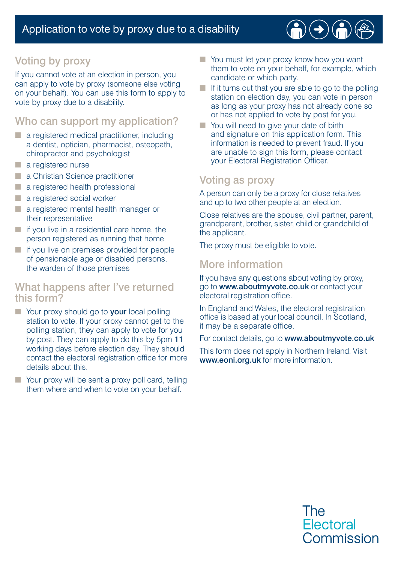## Voting by proxy

If you cannot vote at an election in person, you can apply to vote by proxy (someone else voting on your behalf). You can use this form to apply to vote by proxy due to a disability.

#### Who can support my application?

- a registered medical practitioner, including a dentist, optician, pharmacist, osteopath, chiropractor and psychologist
- a registered nurse
- a Christian Science practitioner
- a registered health professional
- a registered social worker
- a registered mental health manager or their representative
- $\blacksquare$  if you live in a residential care home, the person registered as running that home
- if you live on premises provided for people of pensionable age or disabled persons, the warden of those premises

#### What happens after I've returned this form?

- Your proxy should go to **your** local polling station to vote. If your proxy cannot get to the polling station, they can apply to vote for you by post. They can apply to do this by 5pm 11 working days before election day. They should contact the electoral registration office for more details about this.
- Your proxy will be sent a proxy poll card, telling them where and when to vote on your behalf.
- You must let your proxy know how you want them to vote on your behalf, for example, which candidate or which party.
- $\blacksquare$  If it turns out that you are able to go to the polling station on election day, you can vote in person as long as your proxy has not already done so or has not applied to vote by post for you.
- You will need to give your date of birth and signature on this application form. This information is needed to prevent fraud. If you are unable to sign this form, please contact your Electoral Registration Officer.

### Voting as proxy

A person can only be a proxy for close relatives and up to two other people at an election.

Close relatives are the spouse, civil partner, parent, grandparent, brother, sister, child or grandchild of the applicant.

The proxy must be eligible to vote.

### More information

If you have any questions about voting by proxy, go to www.aboutmyvote.co.uk or contact your electoral registration office.

In England and Wales, the electoral registration office is based at your local council. In Scotland, it may be a separate office.

For contact details, go to www.aboutmyvote.co.uk

This form does not apply in Northern Ireland. Visit www.eoni.org.uk for more information.

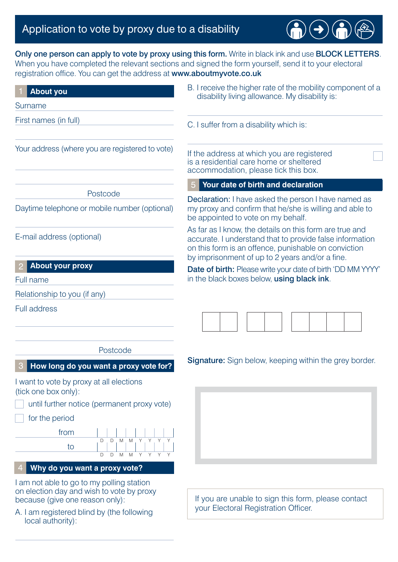# Application to vote by proxy due to a disability

local authority):

Only one person can apply to vote by proxy using this form. Write in black ink and use BLOCK LETTERS. When you have completed the relevant sections and signed the form yourself, send it to your electoral registration office. You can get the address at www.aboutmyvote.co.uk

 $\rightarrow$ 

| <b>About you</b>                                                                                                                                                                                                                                                                          | B. I receive the higher rate of the mobility component of a<br>disability living allowance. My disability is:                                                                                                                  |  |  |  |  |  |
|-------------------------------------------------------------------------------------------------------------------------------------------------------------------------------------------------------------------------------------------------------------------------------------------|--------------------------------------------------------------------------------------------------------------------------------------------------------------------------------------------------------------------------------|--|--|--|--|--|
| Surname                                                                                                                                                                                                                                                                                   |                                                                                                                                                                                                                                |  |  |  |  |  |
| First names (in full)                                                                                                                                                                                                                                                                     | C. I suffer from a disability which is:                                                                                                                                                                                        |  |  |  |  |  |
| Your address (where you are registered to vote)                                                                                                                                                                                                                                           | If the address at which you are registered<br>is a residential care home or sheltered<br>accommodation, please tick this box.                                                                                                  |  |  |  |  |  |
|                                                                                                                                                                                                                                                                                           | Your date of birth and declaration                                                                                                                                                                                             |  |  |  |  |  |
| Postcode<br>Daytime telephone or mobile number (optional)                                                                                                                                                                                                                                 | Declaration: I have asked the person I have named as<br>my proxy and confirm that he/she is willing and able to<br>be appointed to vote on my behalf.                                                                          |  |  |  |  |  |
| E-mail address (optional)                                                                                                                                                                                                                                                                 | As far as I know, the details on this form are true and<br>accurate. I understand that to provide false information<br>on this form is an offence, punishable on conviction<br>by imprisonment of up to 2 years and/or a fine. |  |  |  |  |  |
| <b>About your proxy</b>                                                                                                                                                                                                                                                                   | Date of birth: Please write your date of birth 'DD MM YYYY'                                                                                                                                                                    |  |  |  |  |  |
| Full name                                                                                                                                                                                                                                                                                 | in the black boxes below, using black ink.                                                                                                                                                                                     |  |  |  |  |  |
| Relationship to you (if any)                                                                                                                                                                                                                                                              |                                                                                                                                                                                                                                |  |  |  |  |  |
| <b>Full address</b>                                                                                                                                                                                                                                                                       |                                                                                                                                                                                                                                |  |  |  |  |  |
| Postcode                                                                                                                                                                                                                                                                                  |                                                                                                                                                                                                                                |  |  |  |  |  |
| How long do you want a proxy vote for?                                                                                                                                                                                                                                                    | <b>Signature:</b> Sign below, keeping within the grey border.                                                                                                                                                                  |  |  |  |  |  |
| I want to vote by proxy at all elections<br>(tick one box only):<br>until further notice (permanent proxy vote)<br>for the period<br>from<br>D<br>$\Box$<br>M<br>M<br>Y Y<br>to<br>M Y Y Y Y<br>D<br>D<br>M<br>Why do you want a proxy vote?<br>I am not able to go to my polling station |                                                                                                                                                                                                                                |  |  |  |  |  |
| on election day and wish to vote by proxy<br>because (give one reason only):<br>A. I am registered blind by (the following                                                                                                                                                                | If you are unable to sign this form, please contact<br>your Electoral Registration Officer.                                                                                                                                    |  |  |  |  |  |